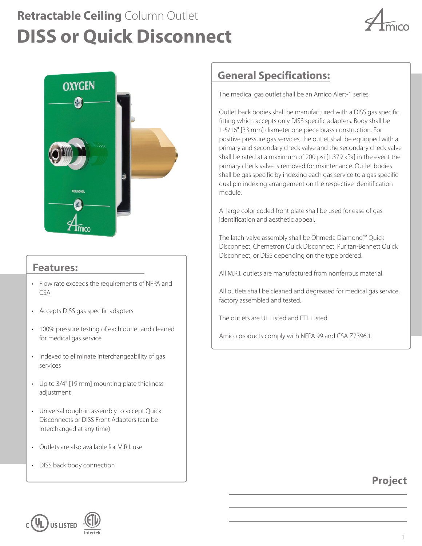# **DISS or Quick Disconnect Retractable Ceiling** Column Outlet





#### **Features:**

- Flow rate exceeds the requirements of NFPA and CSA
- Accepts DISS gas specific adapters
- 100% pressure testing of each outlet and cleaned for medical gas service
- Indexed to eliminate interchangeability of gas services
- Up to 3/4" [19 mm] mounting plate thickness adjustment
- Universal rough-in assembly to accept Quick Disconnects or DISS Front Adapters (can be interchanged at any time)
- Outlets are also available for M.R.I. use
- DISS back body connection

## **General Specifications:**

The medical gas outlet shall be an Amico Alert-1 series.

Outlet back bodies shall be manufactured with a DISS gas specific fitting which accepts only DISS specific adapters. Body shall be 1-5/16" [33 mm] diameter one piece brass construction. For positive pressure gas services, the outlet shall be equipped with a primary and secondary check valve and the secondary check valve shall be rated at a maximum of 200 psi [1,379 kPa] in the event the primary check valve is removed for maintenance. Outlet bodies shall be gas specific by indexing each gas service to a gas specific dual pin indexing arrangement on the respective idenitification module.

A large color coded front plate shall be used for ease of gas identification and aesthetic appeal.

The latch-valve assembly shall be Ohmeda Diamond™ Quick Disconnect, Chemetron Quick Disconnect, Puritan-Bennett Quick Disconnect, or DISS depending on the type ordered.

All M.R.I. outlets are manufactured from nonferrous material.

All outlets shall be cleaned and degreased for medical gas service, factory assembled and tested.

The outlets are UL Listed and ETL Listed.

Amico products comply with NFPA 99 and CSA Z7396.1.

### **Project**